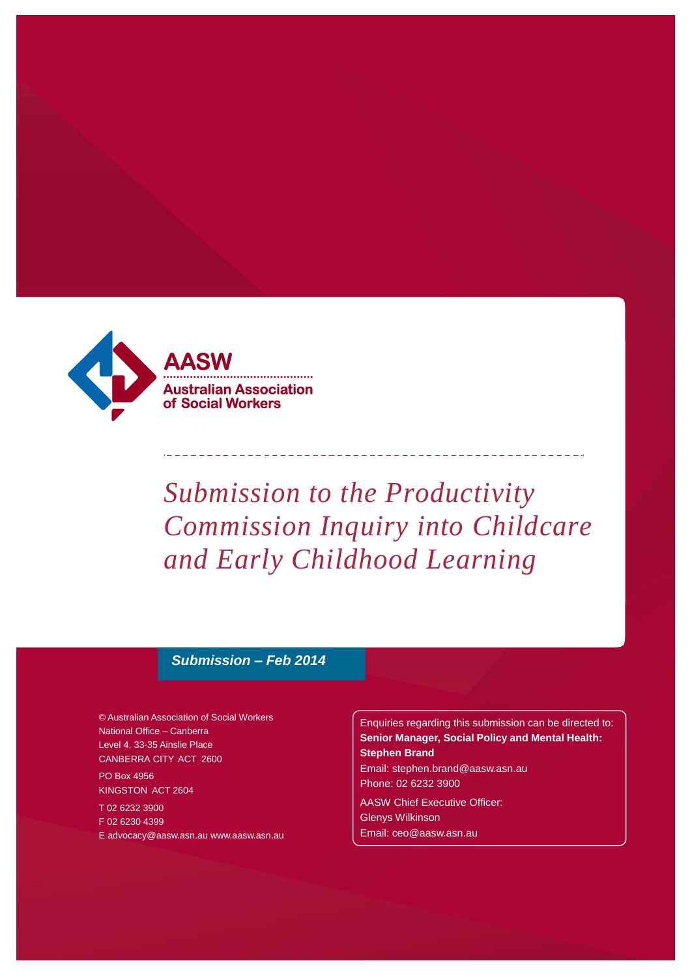

# *Submission to the Productivity Commission Inquiry into Childcare and Early Childhood Learning*

<u> 2002 - 2002 - 2003 - 200</u>

#### *Submission – Feb 2014*

© Australian Association of Social Workers National Office – Canberra Level 4, 33-35 Ainslie Place CANBERRA CITY ACT 2600

PO Box 4956 KINGSTON ACT 2604

T 02 6232 3900 F 02 6230 4399 [E advocacy@aasw.asn.au](mailto:advocacy@aasw.asn.au) [www.aasw.asn.au](mailto:advocacy@aasw.asn.au) Enquiries regarding this submission can be directed to: **Senior Manager, Social Policy and Mental Health: Stephen Brand**

[Email: stephen.brand@aasw.asn.au](mailto:stephen.brand@aasw.asn.au) Phone: 02 6232 3900

AASW Chief Executive Officer: Glenys Wilkinson [Email: ceo@aasw.asn.au](mailto:ceo@aasw.asn.au)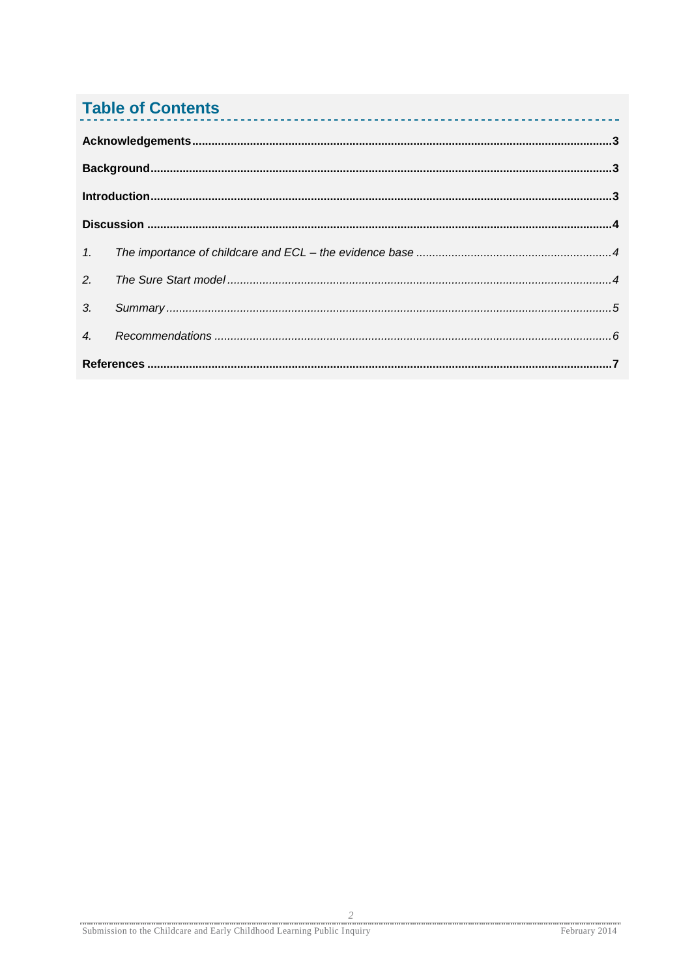# **Table of Contents**

| 2.               |  |  |  |  |  |
|------------------|--|--|--|--|--|
| 3 <sub>l</sub>   |  |  |  |  |  |
| $\overline{4}$ . |  |  |  |  |  |
|                  |  |  |  |  |  |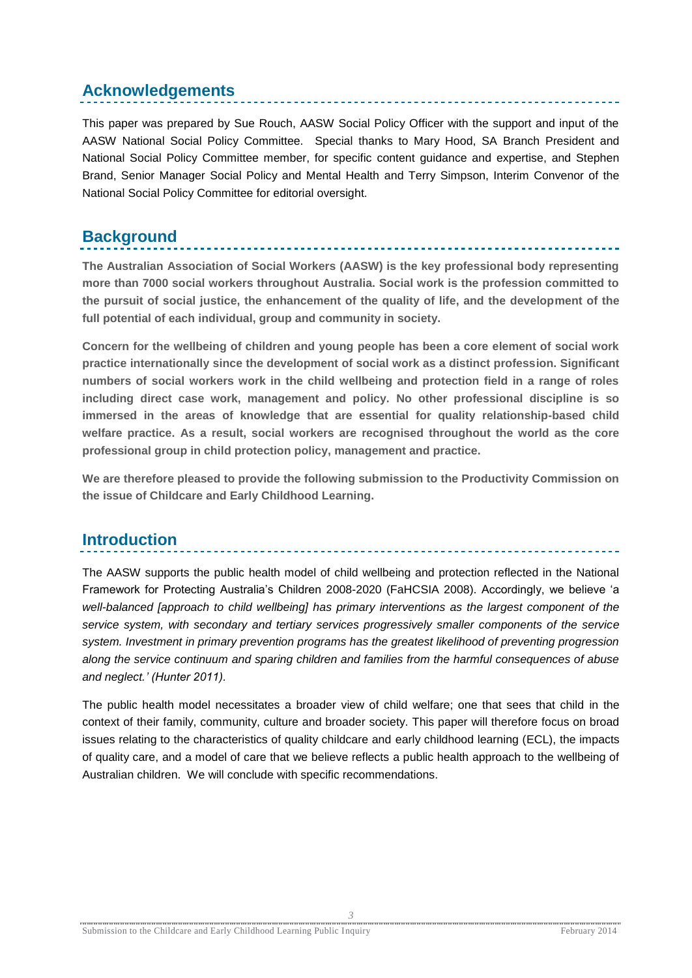# <span id="page-2-0"></span>**Acknowledgements**

This paper was prepared by Sue Rouch, AASW Social Policy Officer with the support and input of the AASW National Social Policy Committee. Special thanks to Mary Hood, SA Branch President and National Social Policy Committee member, for specific content guidance and expertise, and Stephen Brand, Senior Manager Social Policy and Mental Health and Terry Simpson, Interim Convenor of the National Social Policy Committee for editorial oversight.

### <span id="page-2-1"></span>**Background**

**The Australian Association of Social Workers (AASW) is the key professional body representing more than 7000 social workers throughout Australia. Social work is the profession committed to the pursuit of social justice, the enhancement of the quality of life, and the development of the full potential of each individual, group and community in society.**

**Concern for the wellbeing of children and young people has been a core element of social work practice internationally since the development of social work as a distinct profession. Significant numbers of social workers work in the child wellbeing and protection field in a range of roles including direct case work, management and policy. No other professional discipline is so immersed in the areas of knowledge that are essential for quality relationship-based child welfare practice. As a result, social workers are recognised throughout the world as the core professional group in child protection policy, management and practice.**

**We are therefore pleased to provide the following submission to the Productivity Commission on the issue of Childcare and Early Childhood Learning.**

## <span id="page-2-2"></span>**Introduction**

The AASW supports the public health model of child wellbeing and protection reflected in the National Framework for Protecting Australia's Children 2008-2020 (FaHCSIA 2008). Accordingly, we believe 'a *well-balanced [approach to child wellbeing] has primary interventions as the largest component of the service system, with secondary and tertiary services progressively smaller components of the service system. Investment in primary prevention programs has the greatest likelihood of preventing progression along the service continuum and sparing children and families from the harmful consequences of abuse and neglect.' (Hunter 2011).*

The public health model necessitates a broader view of child welfare; one that sees that child in the context of their family, community, culture and broader society. This paper will therefore focus on broad issues relating to the characteristics of quality childcare and early childhood learning (ECL), the impacts of quality care, and a model of care that we believe reflects a public health approach to the wellbeing of Australian children. We will conclude with specific recommendations.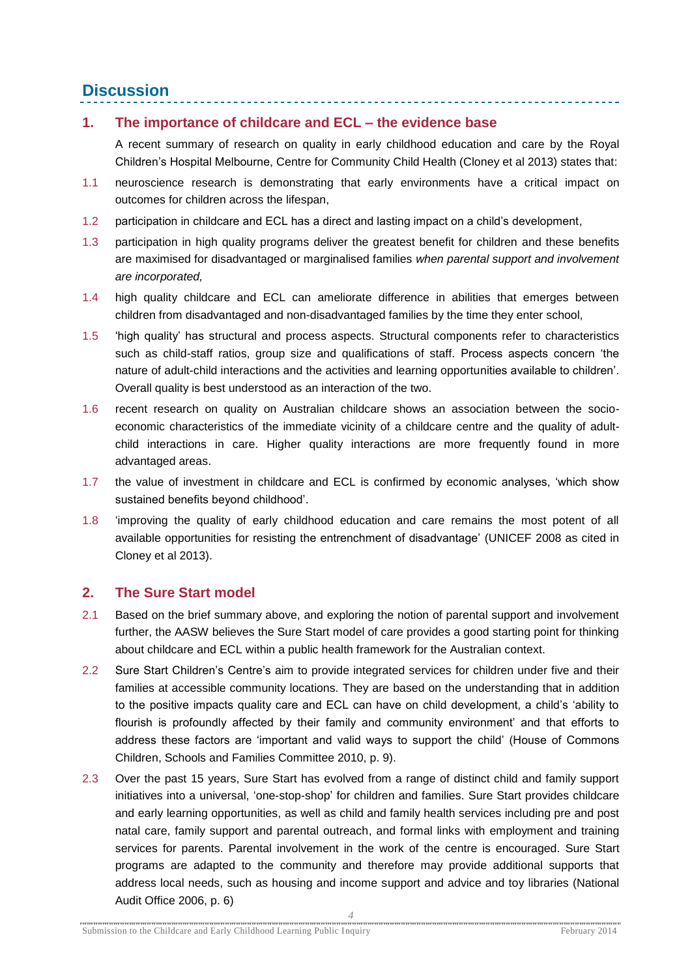## <span id="page-3-0"></span>**Discussion**

#### <span id="page-3-1"></span>**1. The importance of childcare and ECL – the evidence base**

A recent summary of research on quality in early childhood education and care by the Royal Children's Hospital Melbourne, Centre for Community Child Health (Cloney et al 2013) states that:

- 1.1 neuroscience research is demonstrating that early environments have a critical impact on outcomes for children across the lifespan,
- 1.2 participation in childcare and ECL has a direct and lasting impact on a child's development,
- 1.3 participation in high quality programs deliver the greatest benefit for children and these benefits are maximised for disadvantaged or marginalised families *when parental support and involvement are incorporated,*
- 1.4 high quality childcare and ECL can ameliorate difference in abilities that emerges between children from disadvantaged and non-disadvantaged families by the time they enter school,
- 1.5 'high quality' has structural and process aspects. Structural components refer to characteristics such as child-staff ratios, group size and qualifications of staff. Process aspects concern 'the nature of adult-child interactions and the activities and learning opportunities available to children'. Overall quality is best understood as an interaction of the two.
- 1.6 recent research on quality on Australian childcare shows an association between the socioeconomic characteristics of the immediate vicinity of a childcare centre and the quality of adultchild interactions in care. Higher quality interactions are more frequently found in more advantaged areas.
- 1.7 the value of investment in childcare and ECL is confirmed by economic analyses, 'which show sustained benefits beyond childhood'.
- 1.8 'improving the quality of early childhood education and care remains the most potent of all available opportunities for resisting the entrenchment of disadvantage' (UNICEF 2008 as cited in Cloney et al 2013).

#### <span id="page-3-2"></span>**2. The Sure Start model**

- 2.1 Based on the brief summary above, and exploring the notion of parental support and involvement further, the AASW believes the Sure Start model of care provides a good starting point for thinking about childcare and ECL within a public health framework for the Australian context.
- 2.2 Sure Start Children's Centre's aim to provide integrated services for children under five and their families at accessible community locations. They are based on the understanding that in addition to the positive impacts quality care and ECL can have on child development, a child's 'ability to flourish is profoundly affected by their family and community environment' and that efforts to address these factors are 'important and valid ways to support the child' (House of Commons Children, Schools and Families Committee 2010, p. 9).
- 2.3 Over the past 15 years, Sure Start has evolved from a range of distinct child and family support initiatives into a universal, 'one-stop-shop' for children and families. Sure Start provides childcare and early learning opportunities, as well as child and family health services including pre and post natal care, family support and parental outreach, and formal links with employment and training services for parents. Parental involvement in the work of the centre is encouraged. Sure Start programs are adapted to the community and therefore may provide additional supports that address local needs, such as housing and income support and advice and toy libraries (National Audit Office 2006, p. 6)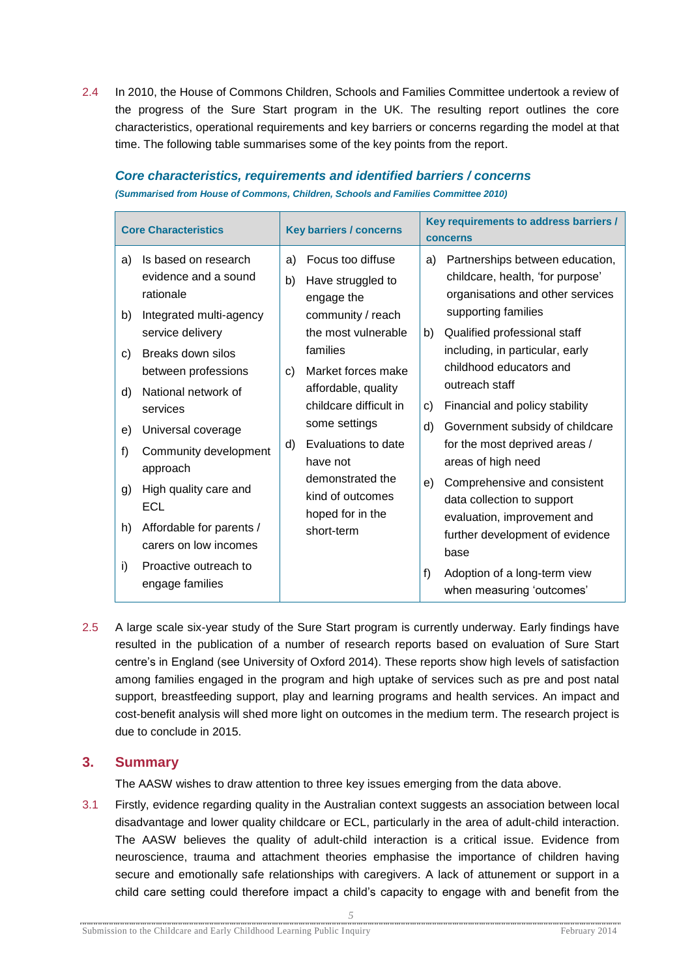2.4 In 2010, the House of Commons Children, Schools and Families Committee undertook a review of the progress of the Sure Start program in the UK. The resulting report outlines the core characteristics, operational requirements and key barriers or concerns regarding the model at that time. The following table summarises some of the key points from the report.

| <b>Core Characteristics</b>                                                                                                                                                                                                                                                                                                                                                                                      | <b>Key barriers / concerns</b>                                                                                                                                                                                                                                                                                                            | Key requirements to address barriers /<br><b>concerns</b>                                                                                                                                                                                                                                                                                                                                                                                                                                                                                                  |
|------------------------------------------------------------------------------------------------------------------------------------------------------------------------------------------------------------------------------------------------------------------------------------------------------------------------------------------------------------------------------------------------------------------|-------------------------------------------------------------------------------------------------------------------------------------------------------------------------------------------------------------------------------------------------------------------------------------------------------------------------------------------|------------------------------------------------------------------------------------------------------------------------------------------------------------------------------------------------------------------------------------------------------------------------------------------------------------------------------------------------------------------------------------------------------------------------------------------------------------------------------------------------------------------------------------------------------------|
| Is based on research<br>a)<br>evidence and a sound<br>rationale<br>Integrated multi-agency<br>b)<br>service delivery<br>Breaks down silos<br>C)<br>between professions<br>National network of<br>d)<br>services<br>Universal coverage<br>e)<br>Community development<br>f)<br>approach<br>High quality care and<br>g)<br>ECL<br>Affordable for parents /<br>h)<br>carers on low incomes<br>Proactive outreach to | Focus too diffuse<br>a)<br>b)<br>Have struggled to<br>engage the<br>community / reach<br>the most vulnerable<br>families<br>Market forces make<br>C)<br>affordable, quality<br>childcare difficult in<br>some settings<br>Evaluations to date<br>d)<br>have not<br>demonstrated the<br>kind of outcomes<br>hoped for in the<br>short-term | Partnerships between education,<br>a)<br>childcare, health, 'for purpose'<br>organisations and other services<br>supporting families<br>Qualified professional staff<br>b)<br>including, in particular, early<br>childhood educators and<br>outreach staff<br>$\mathbf{C}$<br>Financial and policy stability<br>d)<br>Government subsidy of childcare<br>for the most deprived areas /<br>areas of high need<br>Comprehensive and consistent<br>e)<br>data collection to support<br>evaluation, improvement and<br>further development of evidence<br>base |
| i)<br>engage families                                                                                                                                                                                                                                                                                                                                                                                            |                                                                                                                                                                                                                                                                                                                                           | f<br>Adoption of a long-term view<br>when measuring 'outcomes'                                                                                                                                                                                                                                                                                                                                                                                                                                                                                             |

#### *Core characteristics, requirements and identified barriers / concerns*

*(Summarised from House of Commons, Children, Schools and Families Committee 2010)*

2.5 A large scale six-year study of the Sure Start program is currently underway. Early findings have resulted in the publication of a number of research reports based on evaluation of Sure Start centre's in England (see University of Oxford 2014). These reports show high levels of satisfaction among families engaged in the program and high uptake of services such as pre and post natal support, breastfeeding support, play and learning programs and health services. An impact and cost-benefit analysis will shed more light on outcomes in the medium term. The research project is due to conclude in 2015.

#### <span id="page-4-0"></span>**3. Summary**

The AASW wishes to draw attention to three key issues emerging from the data above.

3.1 Firstly, evidence regarding quality in the Australian context suggests an association between local disadvantage and lower quality childcare or ECL, particularly in the area of adult-child interaction. The AASW believes the quality of adult-child interaction is a critical issue. Evidence from neuroscience, trauma and attachment theories emphasise the importance of children having secure and emotionally safe relationships with caregivers. A lack of attunement or support in a child care setting could therefore impact a child's capacity to engage with and benefit from the

*5*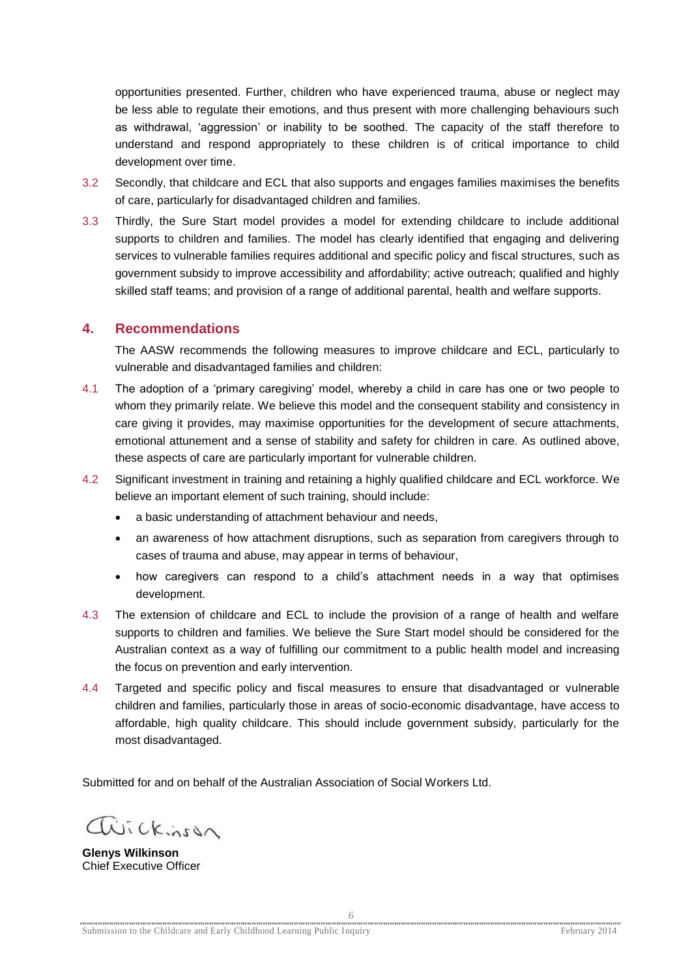opportunities presented. Further, children who have experienced trauma, abuse or neglect may be less able to regulate their emotions, and thus present with more challenging behaviours such as withdrawal, 'aggression' or inability to be soothed. The capacity of the staff therefore to understand and respond appropriately to these children is of critical importance to child development over time.

- 3.2 Secondly, that childcare and ECL that also supports and engages families maximises the benefits of care, particularly for disadvantaged children and families.
- 3.3 Thirdly, the Sure Start model provides a model for extending childcare to include additional supports to children and families. The model has clearly identified that engaging and delivering services to vulnerable families requires additional and specific policy and fiscal structures, such as government subsidy to improve accessibility and affordability; active outreach; qualified and highly skilled staff teams; and provision of a range of additional parental, health and welfare supports.

#### <span id="page-5-0"></span>**4. Recommendations**

The AASW recommends the following measures to improve childcare and ECL, particularly to vulnerable and disadvantaged families and children:

- 4.1 The adoption of a 'primary caregiving' model, whereby a child in care has one or two people to whom they primarily relate. We believe this model and the consequent stability and consistency in care giving it provides, may maximise opportunities for the development of secure attachments, emotional attunement and a sense of stability and safety for children in care. As outlined above, these aspects of care are particularly important for vulnerable children.
- 4.2 Significant investment in training and retaining a highly qualified childcare and ECL workforce. We believe an important element of such training, should include:
	- a basic understanding of attachment behaviour and needs,
	- an awareness of how attachment disruptions, such as separation from caregivers through to cases of trauma and abuse, may appear in terms of behaviour,
	- how caregivers can respond to a child's attachment needs in a way that optimises development.
- 4.3 The extension of childcare and ECL to include the provision of a range of health and welfare supports to children and families. We believe the Sure Start model should be considered for the Australian context as a way of fulfilling our commitment to a public health model and increasing the focus on prevention and early intervention.
- 4.4 Targeted and specific policy and fiscal measures to ensure that disadvantaged or vulnerable children and families, particularly those in areas of socio-economic disadvantage, have access to affordable, high quality childcare. This should include government subsidy, particularly for the most disadvantaged.

Submitted for and on behalf of the Australian Association of Social Workers Ltd.

avickinson

**Glenys Wilkinson** Chief Executive Officer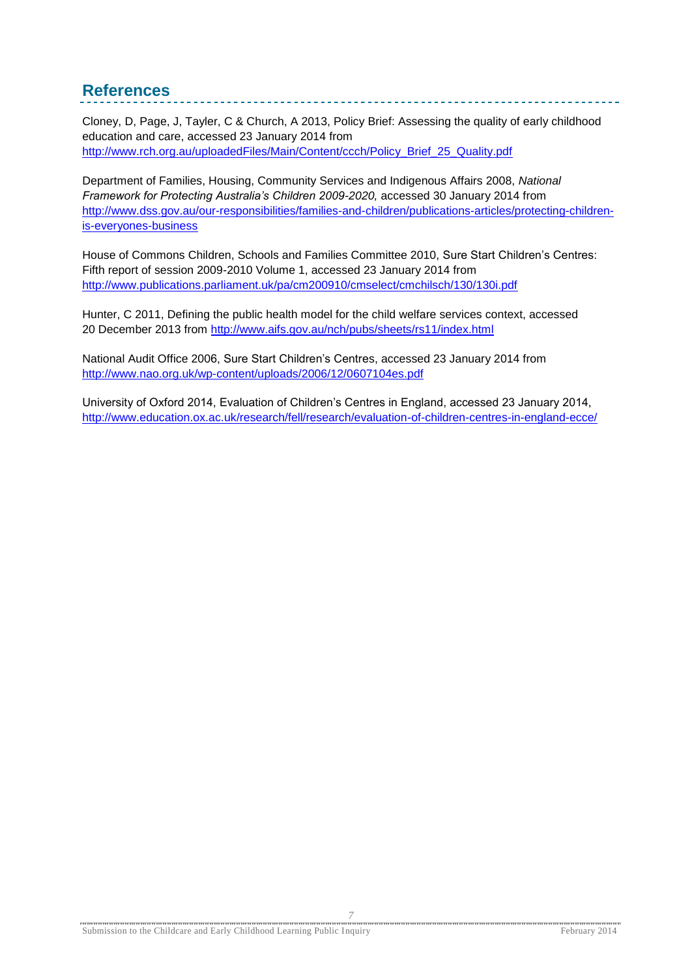## <span id="page-6-0"></span>**References**

Cloney, D, Page, J, Tayler, C & Church, A 2013, Policy Brief: Assessing the quality of early childhood education and care, accessed 23 January 2014 from [http://www.rch.org.au/uploadedFiles/Main/Content/ccch/Policy\\_Brief\\_25\\_Quality.pdf](http://www.rch.org.au/uploadedFiles/Main/Content/ccch/Policy_Brief_25_Quality.pdf)

Department of Families, Housing, Community Services and Indigenous Affairs 2008, *National Framework for Protecting Australia's Children 2009-2020,* accessed 30 January 2014 from [http://www.dss.gov.au/our-responsibilities/families-and-children/publications-articles/protecting-children](http://www.dss.gov.au/our-responsibilities/families-and-children/publications-articles/protecting-children-is-everyones-business)[is-everyones-business](http://www.dss.gov.au/our-responsibilities/families-and-children/publications-articles/protecting-children-is-everyones-business)

House of Commons Children, Schools and Families Committee 2010, Sure Start Children's Centres: Fifth report of session 2009-2010 Volume 1, accessed 23 January 2014 from <http://www.publications.parliament.uk/pa/cm200910/cmselect/cmchilsch/130/130i.pdf>

Hunter, C 2011, Defining the public health model for the child welfare services context, accessed 20 December 2013 from<http://www.aifs.gov.au/nch/pubs/sheets/rs11/index.html>

National Audit Office 2006, Sure Start Children's Centres, accessed 23 January 2014 from <http://www.nao.org.uk/wp-content/uploads/2006/12/0607104es.pdf>

University of Oxford 2014, Evaluation of Children's Centres in England, accessed 23 January 2014, <http://www.education.ox.ac.uk/research/fell/research/evaluation-of-children-centres-in-england-ecce/>